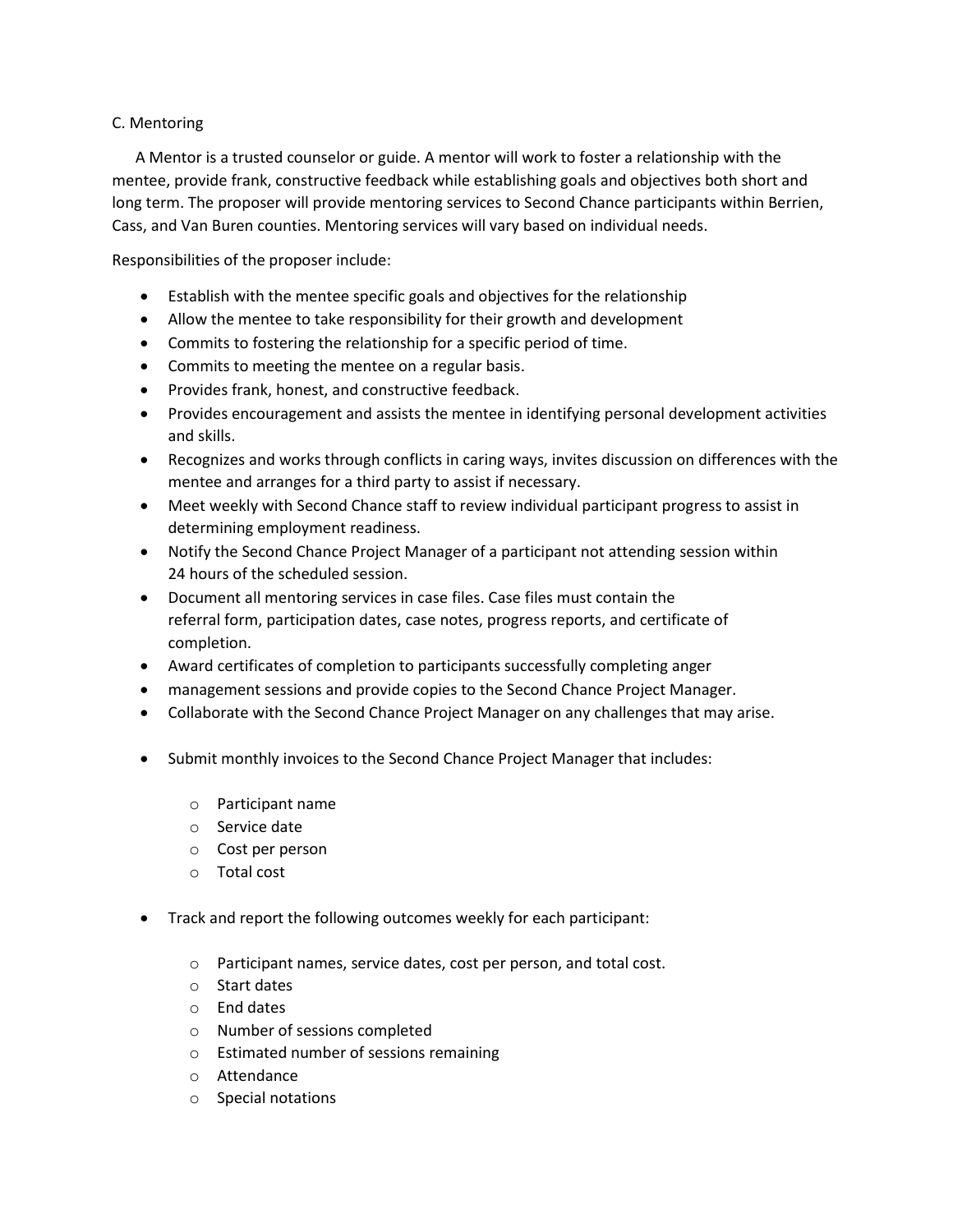## C. Mentoring

 A Mentor is a trusted counselor or guide. A mentor will work to foster a relationship with the mentee, provide frank, constructive feedback while establishing goals and objectives both short and long term. The proposer will provide mentoring services to Second Chance participants within Berrien, Cass, and Van Buren counties. Mentoring services will vary based on individual needs.

Responsibilities of the proposer include:

- Establish with the mentee specific goals and objectives for the relationship
- Allow the mentee to take responsibility for their growth and development
- Commits to fostering the relationship for a specific period of time.
- Commits to meeting the mentee on a regular basis.
- Provides frank, honest, and constructive feedback.
- Provides encouragement and assists the mentee in identifying personal development activities and skills.
- Recognizes and works through conflicts in caring ways, invites discussion on differences with the mentee and arranges for a third party to assist if necessary.
- Meet weekly with Second Chance staff to review individual participant progress to assist in determining employment readiness.
- Notify the Second Chance Project Manager of a participant not attending session within 24 hours of the scheduled session.
- Document all mentoring services in case files. Case files must contain the referral form, participation dates, case notes, progress reports, and certificate of completion.
- Award certificates of completion to participants successfully completing anger
- management sessions and provide copies to the Second Chance Project Manager.
- Collaborate with the Second Chance Project Manager on any challenges that may arise.
- Submit monthly invoices to the Second Chance Project Manager that includes:
	- o Participant name
	- o Service date
	- o Cost per person
	- o Total cost
- Track and report the following outcomes weekly for each participant:
	- o Participant names, service dates, cost per person, and total cost.
	- o Start dates
	- o End dates
	- o Number of sessions completed
	- o Estimated number of sessions remaining
	- o Attendance
	- o Special notations